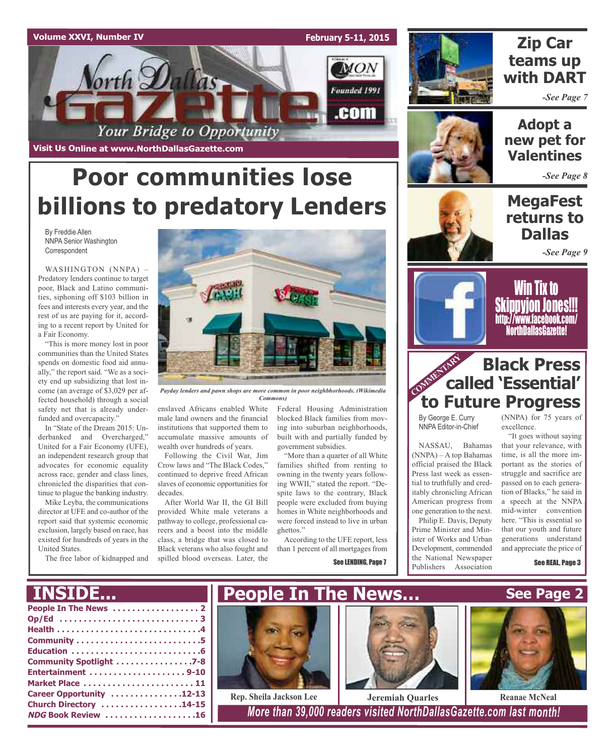



## **Zip Car teams up with DART**

*-See Page 7*



**Adopt a new pet for Valentines**

*-See Page 8*

## **MegaFest returns to Dallas**

*-See Page 9*



Win Tix to **Skippyion Jones!!!** http://www.facebook.com/ NorthDallasGazette!

## **COMMENTARY Black Press called 'Essential' to Future Progress**

By George E. Curry NNPA Editor-in-Chief

NASSAU, Bahamas (NNPA) – A top Bahamas official praised the Black Press last week as essential to truthfully and creditably chronicling African American progress from one generation to the next.

Philip E. Davis, Deputy Prime Minister and Minister of Works and Urban Development, commended the National Newspaper Publishers Association

(NNPA) for 75 years of excellence.

"It goes without saying that your relevance, with time, is all the more important as the stories of struggle and sacrifice are passed on to each generation of Blacks," he said in a speech at the NNPA mid-winter convention here. "This is essential so that our youth and future generations understand and appreciate the price of

See REAL, Page 3

**See Page 2**

## **Poor communities lose billions to predatory Lenders**

By Freddie Allen NNPA Senior Washington Correspondent

WASHINGTON (NNPA) – Predatory lenders continue to target poor, Black and Latino communities, siphoning off \$103 billion in fees and interests every year, and the rest of us are paying for it, according to a recent report by United for a Fair Economy.

"This is more money lost in poor communities than the United States spends on domestic food aid annually," the report said. "We as a society end up subsidizing that lost income (an average of \$3,029 per affected household) through a social safety net that is already underfunded and overcapacity."

In "State of the Dream 2015: Underbanked and Overcharged," United for a Fair Economy (UFE), an independent research group that advocates for economic equality across race, gender and class lines, chronicled the disparities that continue to plague the banking industry.

Mike Leyba, the communications director at UFE and co-author of the report said that systemic economic exclusion, largely based on race, has existed for hundreds of years in the United States.

The free labor of kidnapped and



*Payday lenders and pawn shops are more common in poor neighbhorhoods. (Wikimedia Commons)*

enslaved Africans enabled White male land owners and the financial institutions that supported them to accumulate massive amounts of wealth over hundreds of years.

Following the Civil War, Jim Crow laws and "The Black Codes," continued to deprive freed African slaves of economic opportunities for decades.

After World War II, the GI Bill provided White male veterans a pathway to college, professional careers and a boost into the middle class, a bridge that was closed to Black veterans who also fought and spilled blood overseas. Later, the

Federal Housing Administration blocked Black families from moving into suburban neighborhoods, built with and partially funded by government subsidies.

"More than a quarter of all White families shifted from renting to owning in the twenty years following WWII," stated the report. "Despite laws to the contrary, Black people were excluded from buying homes in White neighborhoods and were forced instead to live in urban ghettos."

According to the UFE report, less than 1 percent of all mortgages from

See LENDING, Page 7





**NDG Book Review . . . . . . . . . . . . . . . . . . .16** *More than 39,000 readers visited NorthDallasGazette.com last month!*

## **INSIDE...**

| Community Spotlight 7-8   |
|---------------------------|
|                           |
| Market Place  11          |
| Career Opportunity 12-13  |
| Church Directory 14-15    |
| <b>NDG Book Review 16</b> |
|                           |



**Rep. Sheila Jackson Lee Jeremiah Quarles Reanae McNeal**

**People In The News…**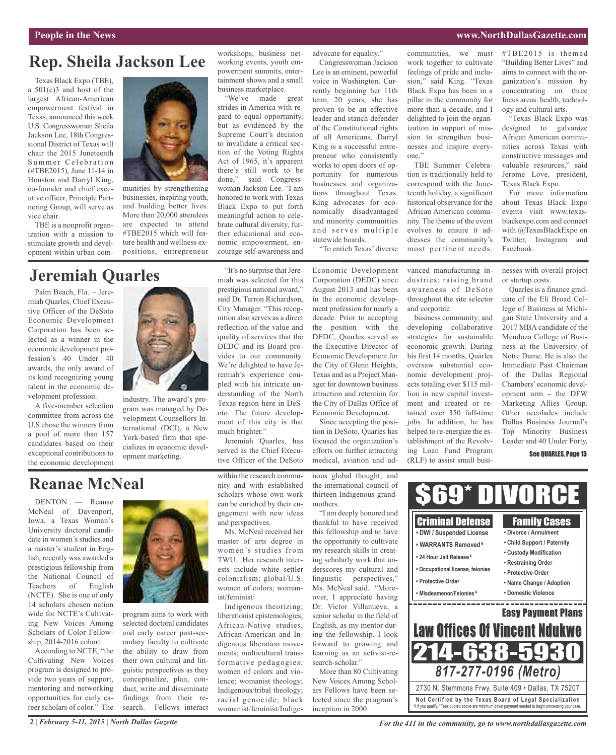#### **People in the News www.NorthDallasGazette.com**

## **Rep. Sheila Jackson Lee**

Texas Black Expo (TBE), a 501(c)3 and host of the largest African-American empowerment festival in Texas, announced this week U.S. Congresswoman Sheila Jackson Lee, 18th Congressional District of Texas will chair the 2015 Juneteenth Summer Celebration (#TBE2015), June 11-14 in Houston and Darryl King, co-founder and chief executive officer, Principle Partnering Group, will serve as vice chair.

TBE is a nonprofit organization with a mission to stimulate growth and development within urban com-



munities by strengthening businesses, inspiring youth, and building better lives. More than 20,000 attendees are expected to attend #TBE2015 which will feature health and wellness expositions, entrepreneur

## **Jeremiah Quarles**

Palm Beach, Fla. – Jeremiah Quarles, Chief Executive Officer of the DeSoto Economic Development Corporation has been selected as a winner in the economic development profession's 40 Under 40 awards, the only award of its kind recognizing young talent in the economic development profession.

A five-member selection committee from across the U.S chose the winners from a pool of more than 157 candidates based on their exceptional contributions to the economic development



industry. The award's program was managed by Development Counsellors International (DCI), a New York-based firm that specializes in economic development marketing.

workshops, business networking events, youth empowerment summits, entertainment shows and a small business marketplace.

"We've made great strides in America with regard to equal opportunity, but as evidenced by the Supreme Court's decision to invalidate a critical section of the Voting Rights Act of 1965, it's apparent there's still work to be done," said Congresswoman Jackson Lee. "I am honored to work with Texas Black Expo to put forth meaningful action to celebrate cultural diversity, further educational and economic empowerment, encourage self-awareness and

"It's no surprise that Jeremiah was selected for this prestigious national award," said Dr. Tarron Richardson, City Manager. "This recognition also serves as a direct reflection of the value and quality of services that the DEDC and its Board provides to our community. We're delighted to have Jeremiah's experience coupled with his intricate understanding of the North Texas region here in DeSoto. The future development of this city is that

advocate for equality."

Congresswoman Jackson Lee is an eminent, powerful voice in Washington. Currently beginning her 11th term, 20 years, she has proven to be an effective leader and stanch defender of the Constitutional rights of all Americans. Darryl King is a successful entrepreneur who consistently works to open doors of opportunity for numerous businesses and organizations throughout Texas. King advocates for economically disadvantaged and minority communities and serves multiple statewide boards.

"To enrich Texas' diverse

Economic Development Corporation (DEDC) since August 2013 and has been in the economic development profession for nearly a decade. Prior to accepting the position with the DEDC, Quarles served as the Executive Director of Economic Development for the City of Glenn Heights, Texas and as a Project Manager for downtown business attraction and retention for the City of Dallas Office of Economic Development.

Since accepting the position in DeSoto, Quarles has focused the organization's efforts on further attracting medical, aviation and ad-

"I am deeply honored and thankful to have received this fellowship and to have the opportunity to cultivate my research skills in creating scholarly work that underscores my cultural and linguistic perspectives," Ms. McNeal said. "Moreover, I appreciate having Dr. Victor Villanueva, a senior scholar in the field of English, as my mentor during the fellowship. I look forward to growing and learning as an activist-research-scholar."

inception in 2000.

communities, we must work together to cultivate feelings of pride and inclusion," said King. "Texas Black Expo has been in a pillar in the community for more than a decade, and I delighted to join the organization in support of mission to strengthen businesses and inspire everyone."

TBE Summer Celebration is traditionally held to correspond with the Juneteenth holiday, a significant historical observance for the African American community. The theme of the event evolves to ensure it addresses the community's most pertinent needs.

vanced manufacturing industries; raising brand awareness of DeSoto throughout the site selector and corporate

business community; and developing collaborative strategies for sustainable economic growth. During his first 14 months, Quarles oversaw substantial economic development projects totaling over \$115 million in new capital investment and created or retained over 350 full-time jobs. In addition, he has helped to re-energize the establishment of the Revolving Loan Fund Program (RLF) to assist small busi-

#TBE2015 is themed "Building Better Lives" and aims to connect with the organization's mission by concentrating on three focus areas: health, technology and cultural arts.

"Texas Black Expo was designed to galvanize African American communities across Texas with constructive messages and valuable resources," said Jerome Love, president, Texas Black Expo.

For more information about Texas Black Expo events visit www.texasblackexpo.com and connect with @TexasBlackExpo on Twitter, Instagram and Facebook.

nesses with overall project or startup costs.

Quarles is a finance graduate of the Eli Broad College of Business at Michigan State University and a 2017 MBA candidate of the Mendoza College of Business at the University of Notre Dame. He is also the Immediate Past Chairman of the Dallas Regional Chambers' economic development arm - the DFW Marketing Allies Group. Other accolades include Dallas Business Journal's Top Minority Business Leader and 40 Under Forty,

#### See QUARLES, Page 13

## **Reanae McNeal**

DENTON — Reanae McNeal of Davenport, Iowa, a Texas Woman's University doctoral candidate in women's studies and a master's student in English, recently was awarded a prestigious fellowship from the National Council of Teachers of English (NCTE). She is one of only 14 scholars chosen nation wide for NCTE's Cultivating New Voices Among Scholars of Color Fellowship, 2014-2016 cohort.

According to NCTE, "the Cultivating New Voices program is designed to provide two years of support, mentoring and networking opportunities for early career scholars of color." The



program aims to work with selected doctoral candidates and early career post-secondary faculty to cultivate the ability to draw from their own cultural and linguistic perspectives as they conceptualize, plan, conduct, write and disseminate findings from their research. Fellows interact within the research community and with established scholars whose own work can be enriched by their engagement with new ideas and perspectives.

Jeremiah Quarles, has served as the Chief Executive Officer of the DeSoto

much brighter."

Ms. McNeal received her master of arts degree in women's studies from TWU. Her research interests include white settler colonialism; global/U.S. women of colors; womanist/feminist/

Indigenous theorizing; liberationist epistemologies; African-Native studies; African-American and Indigenous liberation movements; multicultural transformative pedagogies; women of colors and violence; womanist theology; Indigenous/tribal theology; racial genocide; black womanist/feminist/Indige-

nous global thought; and the international council of thirteen Indigenous grandmothers.

More than 80 Cultivating New Voices Among Scholars Fellows have been selected since the program's



*For the 411 in the community, go to www.northdallasgazette.com*

**Not Ce rtified by the Te x a s Boa rd of Lega l Spe c ia l i za tion** ¥ If you qualify. \*Fees quoted above are minimum down payment needed to begin processing your case.

2730 N. Stemmons Frwy, Suite 409 • Dallas, TX 75207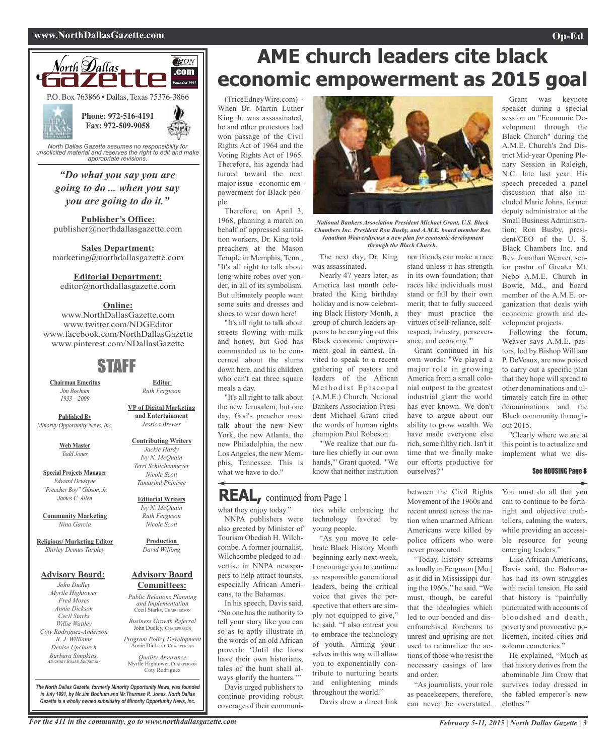#### **www.NorthDallasGazette.com Op-Ed**



*"Do what you say you are going to do ... when you say you are going to do it."*

**Publisher's Office:** publisher@northdallasgazette.com

**Sales Department:** marketing@northdallasgazette.com

**Editorial Department:**

editor@northdallasgazette.com

## **Online:**

www.NorthDallasGazette.com www.twitter.com/NDGEditor www.facebook.com/NorthDallasGazette www.pinterest.com/NDallasGazette

## STAFF

**Chairman Emeritus** *Jim Bochum 1933 – 2009*

**Published By** *Minority Opportunity News, Inc.*

> **Web Master** *Todd Jones*

**Special Projects Manager** *Edward Dewayne "Preacher Boy" Gibson, Jr. James C. Allen*

**Community Marketing** *Nina Garcia*

**Religious/ Marketing Editor** *Shirley Demus Tarpley*

#### **Advisory Board:**

*John Dudley Myrtle Hightower Fred Moses Annie Dickson Cecil Starks Willie Wattley Coty Rodriguez-Anderson B. J. Williams Denise Upchurch Barbara Simpkins, ADVISORY BOARD SECRETARY*

**VP of Digital Marketing and Entertainment** *Jessica Brewer*

**Editor** *Ruth Ferguson*

**Contributing Writers** *Jackie Hardy Ivy N. McQuain Terri Schlichenmeyer Nicole Scott Tamarind Phinisee*

**Editorial Writers** *Ivy N. McQuain*

*Ruth Ferguson Nicole Scott*

**Production** *David Wilfong*

#### **Advisory Board Committees:**

*Public Relations Planning and Implementation* Cecil Starks, CHAIRPERSON

*Business Growth Referral* John Dudley, CHAIRPERSON

*Program Policy Development* Annie Dickson, CHAIRPER

*Quality Assurance* Myrtle Hightower, CHAIRPERSO Coty Rodriguez

*The North Dallas Gazette, formerly Minority Opportunity News, was founded in July 1991, by Mr.Jim Bochum and Mr.Thurman R. Jones. North Dallas Gazette is a wholly owned subsidairy of Minority Opportunity News, Inc.*

## **AME church leaders cite black economic empowerment as 2015 goal**

(TriceEdneyWire.com) - When Dr. Martin Luther King Jr. was assassinated, he and other protestors had won passage of the Civil Rights Act of 1964 and the Voting Rights Act of 1965. Therefore, his agenda had turned toward the next major issue - economic empowerment for Black people.

Therefore, on April 3, 1968, planning a march on behalf of oppressed sanitation workers, Dr. King told preachers at the Mason Temple in Memphis, Tenn., "It's all right to talk about long white robes over yonder, in all of its symbolism. But ultimately people want some suits and dresses and shoes to wear down here!

"It's all right to talk about streets flowing with milk and honey, but God has commanded us to be concerned about the slums down here, and his children who can't eat three square meals a day.

"It's all right to talk about the new Jerusalem, but one day, God's preacher must talk about the new New York, the new Atlanta, the new Philadelphia, the new Los Angeles, the new Memphis, Tennessee. This is what we have to do."

## **REAL,** continued from Page <sup>1</sup>

what they enjoy today."

NNPA publishers were also greeted by Minister of Tourism Obediah H. Wilchcombe. A former journalist, Wilchcombe pledged to advertise in NNPA newspapers to help attract tourists, especially African Americans, to the Bahamas.

In his speech, Davis said, "No one has the authority to tell your story like you can so as to aptly illustrate in the words of an old African proverb: 'Until the lions have their own historians, tales of the hunt shall always glorify the hunters.""

Davis urged publishers to continue providing robust coverage of their communi-

*National Bankers Association President Michael Grant, U.S. Black Chambers Inc. President Ron Busby, and A.M.E. board member Rev. Jonathan Weaverdiscuss a new plan for economic development through the Black Church.*

nor friends can make a race stand unless it has strength in its own foundation; that races like individuals must stand or fall by their own merit; that to fully succeed they must practice the virtues of self-reliance, selfrespect, industry, perseverance, and economy.'"

Grant continued in his own words: "We played a major role in growing America from a small colonial outpost to the greatest industrial giant the world has ever known. We don't have to argue about our ability to grow wealth. We have made everyone else rich, some filthy rich. Isn't it time that we finally make our efforts productive for

The next day, Dr. King was assassinated.

Nearly 47 years later, as America last month celebrated the King birthday holiday and is now celebrating Black History Month, a group of church leaders appears to be carrying out this Black economic empowerment goal in earnest. Invited to speak to a recent gathering of pastors and leaders of the African Methodist Episcopal (A.M.E.) Church, National Bankers Association President Michael Grant cited the words of human rights champion Paul Robeson:

'"We realize that our future lies chiefly in our own hands,'" Grant quoted. "'We know that neither institution

"As you move to celebrate Black History Month beginning early next week, I encourage you to continue as responsible generational leaders, being the critical voice that gives the perspective that others are simply not equipped to give," he said. "I also entreat you to embrace the technology of youth. Arming yourselves in this way will allow you to exponentially contribute to nurturing hearts and enlightening minds throughout the world." Davis drew a direct link

young people.

ties while embracing the technology favored by between the Civil Rights Movement of the 1960s and recent unrest across the nation when unarmed African Americans were killed by ourselves?"

police officers who were

never prosecuted. "Today, history screams as loudly in Ferguson [Mo.] as it did in Mississippi during the 1960s," he said. "We must, though, be careful that the ideologies which led to our bonded and disenfranchised forebears to unrest and uprising are not used to rationalize the actions of those who resist the necessary casings of law and order.

"As journalists, your role as peacekeepers, therefore, can never be overstated.

Grant was keynote speaker during a special session on "Economic Development through the Black Church" during the A.M.E. Church's 2nd District Mid-year Opening Plenary Session in Raleigh, N.C. late last year. His speech preceded a panel discussion that also included Marie Johns, former deputy administrator at the Small Business Administration; Ron Busby, president/CEO of the U. S. Black Chambers Inc. and Rev. Jonathan Weaver, senior pastor of Greater Mt. Nebo A.M.E. Church in Bowie, Md., and board member of the A.M.E. organization that deals with economic growth and development projects.

Following the forum, Weaver says A.M.E. pastors, led by Bishop William P. DeVeaux, are now poised to carry out a specific plan that they hope will spread to other denominations and ultimately catch fire in other denominations and the Black community throughout 2015.

"Clearly where we are at this point is to actualize and implement what we dis-

#### See HOUSING Page 8

You must do all that you can to continue to be forthright and objective truthtellers, calming the waters, while providing an accessible resource for young emerging leaders."

Like African Americans, Davis said, the Bahamas has had its own struggles with racial tension. He said that history is "painfully punctuated with accounts of bloodshed and death, poverty and provocative policemen, incited cities and solemn cemeteries."

He explained, "Much as that history derives from the abominable Jim Crow that survives today dressed in the fabled emperor's new clothes."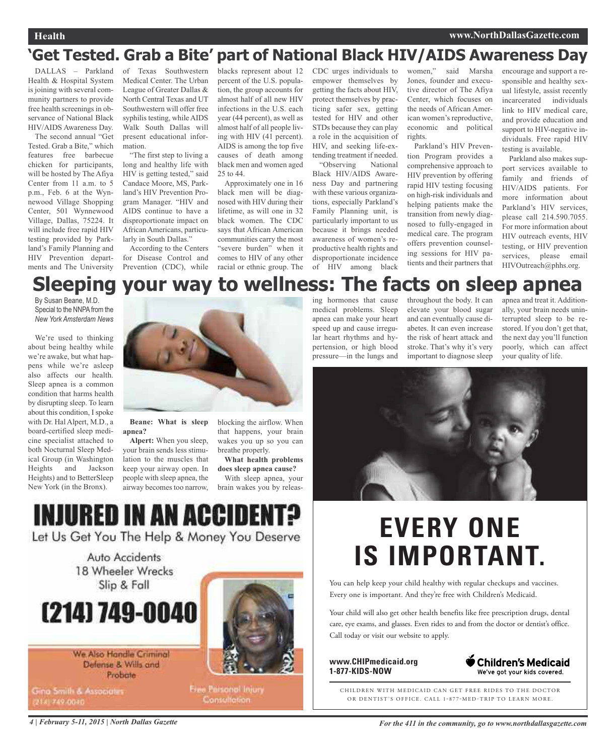## **'Get Tested. Grab a Bite' part of National Black HIV/AIDS Awareness Day**

DALLAS – Parkland Health & Hospital System is joining with several community partners to provide free health screenings in observance of National Black HIV/AIDS Awareness Day.

The second annual "Get Tested. Grab a Bite," which features free barbecue chicken for participants, will be hosted by The Afiya Center from 11 a.m. to 5 p.m., Feb. 6 at the Wynnewood Village Shopping Center, 501 Wynnewood Village, Dallas, 75224. It will include free rapid HIV testing provided by Parkland's Family Planning and HIV Prevention departments and The University

of Texas Southwestern Medical Center. The Urban League of Greater Dallas & North Central Texas and UT Southwestern will offer free syphilis testing, while AIDS Walk South Dallas will present educational information.

"The first step to living a long and healthy life with HIV is getting tested," said Candace Moore, MS, Parkland's HIV Prevention Program Manager. "HIV and AIDS continue to have a disproportionate impact on African Americans, particularly in South Dallas."

According to the Centers for Disease Control and Prevention (CDC), while

blacks represent about 12 percent of the U.S. population, the group accounts for almost half of all new HIV infections in the U.S. each year (44 percent), as well as almost half of all people living with HIV (41 percent). AIDS is among the top five causes of death among black men and women aged 25 to 44.

Approximately one in 16 black men will be diagnosed with HIV during their lifetime, as will one in 32 black women. The CDC says that African American communities carry the most "severe burden" when it comes to HIV of any other racial or ethnic group. The CDC urges individuals to empower themselves by getting the facts about HIV, protect themselves by practicing safer sex, getting tested for HIV and other STDs because they can play a role in the acquisition of HIV, and seeking life-extending treatment if needed.

"Observing National Black HIV/AIDS Awareness Day and partnering with these various organizations, especially Parkland's Family Planning unit, is particularly important to us because it brings needed awareness of women's reproductive health rights and disproportionate incidence of HIV among black

women," said Marsha Jones, founder and executive director of The Afiya Center, which focuses on the needs of African American women's reproductive, economic and political rights.

Parkland's HIV Prevention Program provides a comprehensive approach to HIV prevention by offering rapid HIV testing focusing on high-risk individuals and helping patients make the transition from newly diagnosed to fully-engaged in medical care. The program offers prevention counseling sessions for HIV patients and their partners that

encourage and support a responsible and healthy sexual lifestyle, assist recently incarcerated individuals link to HIV medical care, and provide education and support to HIV-negative individuals. Free rapid HIV testing is available.

Parkland also makes support services available to family and friends of HIV/AIDS patients. For more information about Parkland's HIV services, please call 214.590.7055. For more information about HIV outreach events, HIV testing, or HIV prevention services, please email HIVOutreach@phhs.org.

## **Sleeping your way to wellness: The facts on sleep apnea**

By Susan Beane, M.D. Special to the NNPA from the *New York Amsterdam News*

We're used to thinking about being healthy while we're awake, but what happens while we're asleep also affects our health. Sleep apnea is a common condition that harms health by disrupting sleep. To learn about this condition, I spoke with Dr. Hal Alpert, M.D., a board-certified sleep medicine specialist attached to both Nocturnal Sleep Medical Group (in Washington Heights and Jackson Heights) and to BetterSleep New York (in the Bronx).



**Beane: What is sleep apnea?**

**Alpert:** When you sleep, your brain sends less stimulation to the muscles that keep your airway open. In people with sleep apnea, the airway becomes too narrow,

blocking the airflow. When that happens, your brain wakes you up so you can breathe properly.

**What health problems does sleep apnea cause?**

With sleep apnea, your brain wakes you by releas-

## INJURED IN AN ACCIDEN

Let Us Get You The Help & Money You Deserve

Auto Accidents 18 Wheeler Wrecks Slip & Fall

# (214) 749-0040

We Also Handle Criminal Defense & Wills and Probate

Gina Smith & Associates (214) 749-0040



Free Parsonol Injury **Consultation** 

**EVERY ONE IS IMPORTANT.** 

You can help keep your child healthy with regular checkups and vaccines. Every one is important. And they're free with Children's Medicaid.

Your child will also get other health benefits like free prescription drugs, dental care, eye exams, and glasses. Even rides to and from the doctor or dentist's office. Call today or visit our website to apply.

**www.CHIPmedicaid.org 1-877-KIDS-NOW**



CHILDREN WITH MEDICAID CAN GET FREE RIDES TO THE DOCTOR OR DENTIST'S OFFICE. CALL 1-877-MED-TRIP TO LEARN MORE.

ing hormones that cause medical problems. Sleep apnea can make your heart speed up and cause irregular heart rhythms and hypertension, or high blood pressure—in the lungs and

throughout the body. It can elevate your blood sugar and can eventually cause diabetes. It can even increase the risk of heart attack and stroke. That's why it's very important to diagnose sleep

apnea and treat it. Additionally, your brain needs uninterrupted sleep to be restored. If you don't get that, the next day you'll function poorly, which can affect your quality of life.

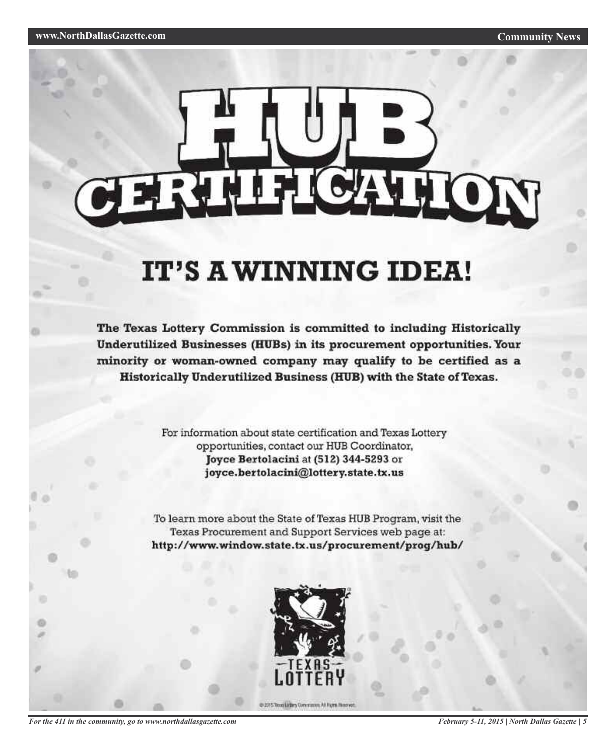# ERTHERON

## IT'S A WINNING IDEA!

The Texas Lottery Commission is committed to including Historically Underutilized Businesses (HUBs) in its procurement opportunities. Your minority or woman-owned company may qualify to be certified as a Historically Underutilized Business (HUB) with the State of Texas.

> For information about state certification and Texas Lottery opportunities, contact our HUB Coordinator, Joyce Bertolacini at (512) 344-5293 or joyce.bertolacini@lottery.state.tx.us

To learn more about the State of Texas HUB Program, visit the Texas Procurement and Support Services web page at: http://www.window.state.tx.us/procurement/prog/hub/



@ 2015 Trong Lidlery Commission, All Fighth Financial

```
For the 411 in the community, go to www.northdallasgazette.com
```
*February 5-11, 2015 | North Dallas Gazette | 5*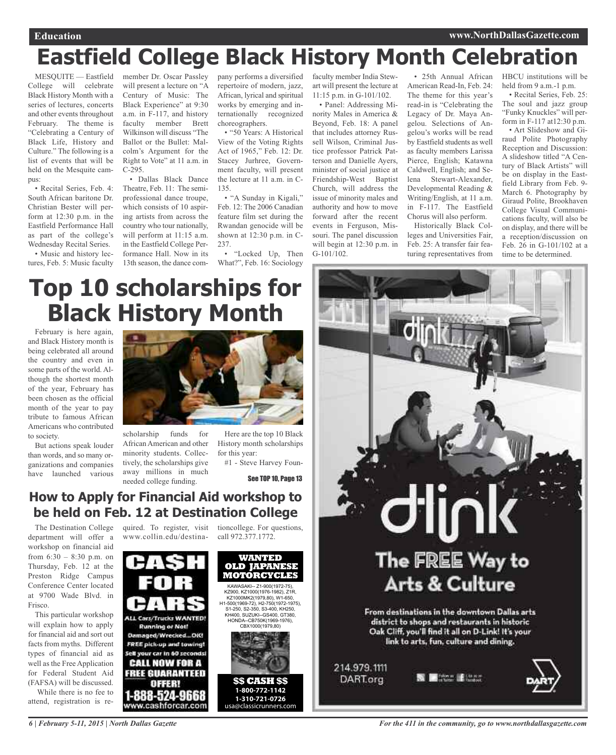## **Education www.NorthDallasGazette.com**

## **Eastfield College Black History Month Celebration**

MESQUITE — Eastfield College will celebrate Black History Month with a series of lectures, concerts and other events throughout February. The theme is "Celebrating a Century of Black Life, History and Culture." The following is a list of events that will be held on the Mesquite campus:

• Recital Series, Feb. 4: South African baritone Dr. Christian Bester will perform at 12:30 p.m. in the Eastfield Performance Hall as part of the college's Wednesday Recital Series.

• Music and history lectures, Feb. 5: Music faculty member Dr. Oscar Passley will present a lecture on "A Century of Music: The Black Experience" at 9:30 a.m. in F-117, and history faculty member Brett Wilkinson will discuss "The Ballot or the Bullet: Malcolm's Argument for the Right to Vote" at 11 a.m. in C-295.

• Dallas Black Dance Theatre, Feb. 11: The semiprofessional dance troupe, which consists of 10 aspiring artists from across the country who tour nationally, will perform at 11:15 a.m. in the Eastfield College Performance Hall. Now in its 13th season, the dance company performs a diversified repertoire of modern, jazz, African, lyrical and spiritual works by emerging and internationally recognized choreographers.

• "50 Years: A Historical View of the Voting Rights Act of 1965," Feb. 12: Dr. Stacey Jurhree, Government faculty, will present the lecture at 11 a.m. in C-135.

• "A Sunday in Kigali," Feb. 12: The 2006 Canadian feature film set during the Rwandan genocide will be shown at 12:30 p.m. in C-237.

• "Locked Up, Then What?", Feb. 16: Sociology faculty member India Stewart will present the lecture at 11:15 p.m. in G-101/102.

• Panel: Addressing Minority Males in America & Beyond, Feb. 18: A panel that includes attorney Russell Wilson, Criminal Justice professor Patrick Patterson and Danielle Ayers, minister of social justice at Friendship-West Baptist Church, will address the issue of minority males and authority and how to move forward after the recent events in Ferguson, Missouri. The panel discussion will begin at 12:30 p.m. in G-101/102.

American Read-In, Feb. 24: The theme for this year's read-in is "Celebrating the Legacy of Dr. Maya Angelou. Selections of Angelou's works will be read by Eastfield students as well as faculty members Larissa Pierce, English; Katawna Caldwell, English; and Selena Stewart-Alexander, Developmental Reading & Writing/English, at 11 a.m. in F-117. The Eastfield Chorus will also perform.

Historically Black Colleges and Universities Fair, Feb. 25: A transfer fair featuring representatives from

• 25th Annual African HBCU institutions will be held from 9 a.m.-1 p.m.

• Recital Series, Feb. 25: The soul and jazz group "Funky Knuckles" will perform in F-117 at12:30 p.m.

• Art Slideshow and Giraud Polite Photography Reception and Discussion: A slideshow titled "A Century of Black Artists" will be on display in the Eastfield Library from Feb. 9- March 6. Photography by Giraud Polite, Brookhaven College Visual Communications faculty, will also be on display, and there will be a reception/discussion on Feb. 26 in G-101/102 at a time to be determined.

## **Top 10 scholarships for Black History Month**

February is here again, and Black History month is being celebrated all around the country and even in some parts of the world. Although the shortest month of the year, February has been chosen as the official month of the year to pay tribute to famous African Americans who contributed to society.

But actions speak louder than words, and so many organizations and companies have launched various



scholarship funds for African American and other minority students. Collectively, the scholarships give away millions in much needed college funding.

Here are the top 10 Black History month scholarships for this year:

#1 - Steve Harvey Foun-

See TOP 10, Page 13

## **How to Apply for Financial Aid workshop to be held on Feb. 12 at Destination College**

The Destination College department will offer a workshop on financial aid from  $6:30 - 8:30$  p.m. on Thursday, Feb. 12 at the Preston Ridge Campus Conference Center located at 9700 Wade Blvd. in Frisco.

This particular workshop will explain how to apply for financial aid and sort out facts from myths. Different types of financial aid as well as the Free Application for Federal Student Aid (FAFSA) will be discussed. While there is no fee to

attend, registration is re-

www.collin.edu/destina-

quired. To register, visit tioncollege. For questions, call 972.377.1772.





*6 | February 5-11, 2015 | North Dallas Gazette*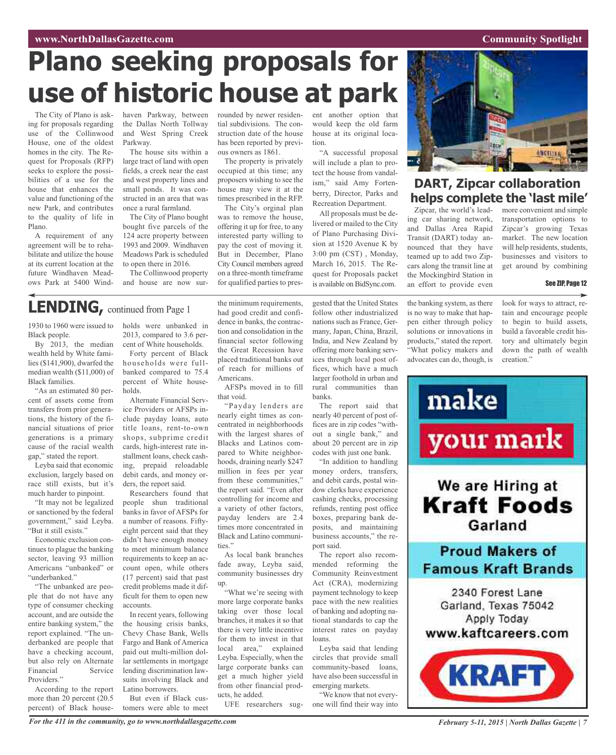## **www.NorthDallasGazette.com Community** Spotlight

# **Plano seeking proposals for use of historic house at park**

The City of Plano is asking for proposals regarding use of the Collinwood House, one of the oldest homes in the city. The Request for Proposals (RFP) seeks to explore the possibilities of a use for the house that enhances the value and functioning of the new Park, and contributes to the quality of life in Plano.

A requirement of any agreement will be to rehabilitate and utilize the house at its current location at the future Windhaven Meadows Park at 5400 Windhaven Parkway, between the Dallas North Tollway and West Spring Creek Parkway.

The house sits within a large tract of land with open fields, a creek near the east and west property lines and small ponds. It was constructed in an area that was once a rural farmland.

The City of Plano bought bought five parcels of the 124 acre property between 1993 and 2009. Windhaven Meadows Park is scheduled to open there in 2016.

The Collinwood property and house are now surrounded by newer residential subdivisions. The construction date of the house has been reported by previous owners as 1861.

The property is privately occupied at this time; any proposers wishing to see the house may view it at the times prescribed in the RFP.

The City's orginal plan was to remove the house, offering it up for free, to any interested party willing to pay the cost of moving it. But in December, Plano City Council members agreed on a three-month timeframe for qualified parties to pres-

the minimum requirements,

pared to White neighborhoods, draining nearly \$247 million in fees per year from these communities," the report said. "Even after controlling for income and a variety of other factors, payday lenders are 2.4 times more concentrated in Black and Latino communi-

As local bank branches fade away, Leyba said, community businesses dry

"What we're seeing with more large corporate banks taking over those local branches, it makes it so that there is very little incentive for them to invest in that local area," explained Leyba. Especially, when the large corporate banks can get a much higher yield from other financial prod-

ties."

up.

ucts, he added.

ent another option that would keep the old farm house at its original location.

"A successful proposal will include a plan to protect the house from vandalism," said Amy Fortenberry, Director, Parks and Recreation Department.

All proposals must be delivered or mailed to the City of Plano Purchasing Division at 1520 Avenue K by 3:00 pm (CST) , Monday, March 16, 2015. The Request for Proposals packet is available on BidSync.com.

gested that the United States follow other industrialized nations such as France, Germany, Japan, China, Brazil, India, and New Zealand by offering more banking services through local post offices, which have a much larger foothold in urban and rural communities than

nearly 40 percent of post offices are in zip codes "without a single bank," and about 20 percent are in zip codes with just one bank.

mended reforming the Community Reinvestment Act (CRA), modernizing payment technology to keep pace with the new realities of banking and adopting national standards to cap the interest rates on payday loans.

circles that provide small community-based loans, have also been successful in emerging markets.

UFE researchers sug-



## **DART, Zipcar collaboration helps complete the 'last mile'**

ing car sharing network, and Dallas Area Rapid Transit (DART) today announced that they have teamed up to add two Zipcars along the transit line at the Mockingbird Station in an effort to provide even

the banking system, as there is no way to make that happen either through policy solutions or innovations in products," stated the report. "What policy makers and advocates can do, though, is

make

more convenient and simple transportation options to Zipcar's growing Texas market. The new location will help residents, students, businesses and visitors to get around by combining

#### See ZIP, Page 12

look for ways to attract, retain and encourage people to begin to build assets, build a favorable credit history and ultimately begin down the path of wealth creation."

Zipcar, the world's lead-

## **LENDING,** continued from Page <sup>1</sup>

1930 to 1960 were issued to Black people.

By 2013, the median wealth held by White families (\$141,900), dwarfed the median wealth (\$11,000) of Black families.

"As an estimated 80 percent of assets come from transfers from prior generations, the history of the financial situations of prior generations is a primary cause of the racial wealth gap," stated the report.

Leyba said that economic exclusion, largely based on race still exists, but it's much harder to pinpoint.

"It may not be legalized or sanctioned by the federal government," said Leyba. "But it still exists."

Economic exclusion continues to plague the banking sector, leaving 93 million Americans "unbanked" or "underbanked."

"The unbanked are people that do not have any type of consumer checking account, and are outside the entire banking system," the report explained. "The underbanked are people that have a checking account, but also rely on Alternate<br>Financial Service Financial Providers.'

According to the report more than 20 percent (20.5 percent) of Black households were unbanked in 2013, compared to 3.6 percent of White households.

Forty percent of Black households were fullbanked compared to 75.4 percent of White households.

Alternate Financial Service Providers or AFSPs include payday loans, auto title loans, rent-to-own shops, subprime credit cards, high-interest rate installment loans, check cashing, prepaid reloadable debit cards, and money orders, the report said.

Researchers found that people shun traditional banks in favor of AFSPs for a number of reasons. Fiftyeight percent said that they didn't have enough money to meet minimum balance requirements to keep an account open, while others (17 percent) said that past credit problems made it difficult for them to open new accounts.

In recent years, following the housing crisis banks, Chevy Chase Bank, Wells Fargo and Bank of America paid out multi-million dollar settlements in mortgage lending discrimination lawsuits involving Black and Latino borrowers.

But even if Black customers were able to meet had good credit and confidence in banks, the contraction and consolidation in the financial sector following the Great Recession have placed traditional banks out of reach for millions of Americans. AFSPs moved in to fill that void. "Payday lenders are

nearly eight times as concentrated in neighborhoods with the largest shares of Blacks and Latinos combanks. The report said that

> "In addition to handling money orders, transfers, and debit cards, postal window clerks have experience cashing checks, processing refunds, renting post office boxes, preparing bank deposits, and maintaining business accounts," the report said.

The report also recom-

Leyba said that lending

"We know that not everyone will find their way into

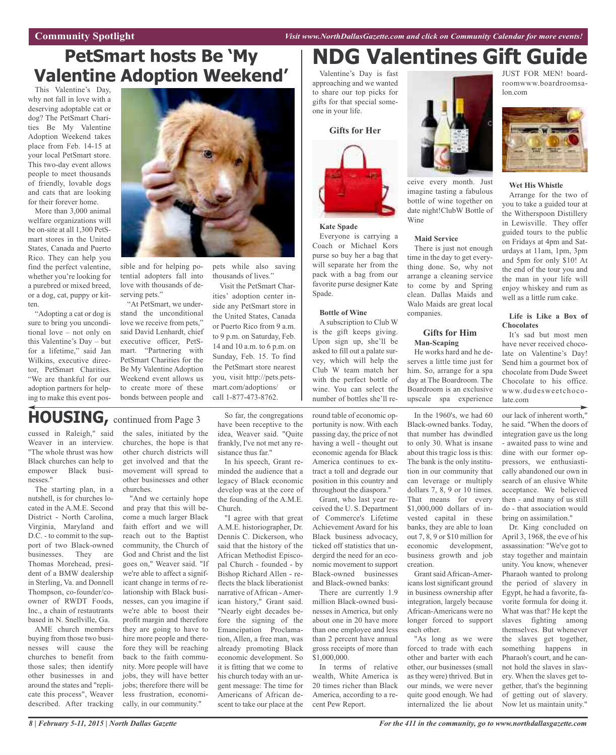**Community Spotlight** *Visit www.NorthDallasGazette.com and click on Community Calendar for more events!*

## **PetSmart hosts Be 'My Valentine Adoption Weekend'**

This Valentine's Day, why not fall in love with a deserving adoptable cat or dog? The PetSmart Charities Be My Valentine Adoption Weekend takes place from Feb. 14-15 at your local PetSmart store. This two-day event allows people to meet thousands of friendly, lovable dogs and cats that are looking for their forever home.

More than 3,000 animal welfare organizations will be on-site at all 1,300 PetSmart stores in the United States, Canada and Puerto Rico. They can help you find the perfect valentine, whether you're looking for a purebred or mixed breed, or a dog, cat, puppy or kitten.

"Adopting a cat or dog is sure to bring you unconditional love – not only on this Valentine's Day – but for a lifetime," said Jan Wilkins, executive director, PetSmart Charities. "We are thankful for our adoption partners for helping to make this event pos-



sible and for helping potential adopters fall into love with thousands of deserving pets."

"At PetSmart, we understand the unconditional love we receive from pets," said David Lenhardt, chief executive officer, PetSmart. "Partnering with PetSmart Charities for the Be My Valentine Adoption Weekend event allows us to create more of these bonds between people and

pets while also saving thousands of lives."

Visit the PetSmart Charities' adoption center inside any PetSmart store in the United States, Canada or Puerto Rico from 9 a.m. to 9 p.m. on Saturday, Feb. 14 and 10 a.m. to 6 p.m. on Sunday, Feb. 15. To find the PetSmart store nearest you, visit http://pets.petsmart.com/adoptions/ call 1-877-473-8762.

## **HOUSING,** continued from Page <sup>3</sup>

cussed in Raleigh," said Weaver in an interview. "The whole thrust was how Black churches can help to empower Black businesses."

The starting plan, in a nutshell, is for churches located in the A.M.E. Second District - North Carolina, Virginia, Maryland and D.C. - to commit to the support of two Black-owned businesses. They are Thomas Morehead, president of a BMW dealership in Sterling, Va. and Donnell Thompson, co-founder/coowner of RWDT Foods, Inc., a chain of restautrants based in N. Snellville, Ga.

AME church members buying from those two businesses will cause the churches to benefit from those sales; then identify other businesses in and around the states and "replicate this process", Weaver described. After tracking the sales, initiated by the churches, the hope is that other church districts will get involved and that the movement will spread to other businesses and other churches.

"And we certainly hope and pray that this will become a much larger Black faith effort and we will reach out to the Baptist community, the Church of God and Christ and the list goes on," Weaver said. "If we're able to affect a significant change in terms of relationship with Black businesses, can you imagine if we're able to boost their profit margin and therefore they are going to have to hire more people and therefore they will be reaching back to the faith community. More people will have jobs, they will have better jobs; therefore there will be less frustration, economically, in our community."

So far, the congregations have been receptive to the idea, Weaver said. "Quite frankly, I've not met any resistance thus far."

In his speech, Grant reminded the audience that a legacy of Black economic develop was at the core of the founding of the A.M.E. Church.

"I agree with that great A.M.E. historiographer, Dr. Dennis C. Dickerson, who said that the history of the African Methodist Episcopal Church - founded - by Bishop Richard Allen - reflects the black liberationist narrative of African - American history," Grant said. "Nearly eight decades before the signing of the Emancipation Proclamation, Allen, a free man, was already promoting Black economic development. So it is fitting that we come to his church today with an urgent message: The time for Americans of African descent to take our place at the

## **NDG Valentines Gift Guide**

Valentine's Day is fast approaching and we wanted to share our top picks for gifts for that special someone in your life.

**Gifts for Her**



#### **Kate Spade**

Everyone is carrying a Coach or Michael Kors purse so buy her a bag that will separate her from the pack with a bag from our favorite purse designer Kate Spade.

#### **Bottle of Wine**

A subscription to Club W is the gift keeps giving. Upon sign up, she'll be asked to fill out a palate survey, which will help the Club W team match her with the perfect bottle of wine. You can select the number of bottles she'll re-

round table of economic opportunity is now. With each passing day, the price of not having a well - thought out economic agenda for Black America continues to extract a toll and degrade our position in this country and throughout the diaspora."

Grant, who last year received the U. S. Department of Commerce's Lifetime Achievement Award for his Black business advocacy, ticked off statistics that undergird the need for an economic movement to support Black-owned businesses and Black-owned banks:

There are currently 1.9 million Black-owned businesses in America, but only about one in 20 have more than one employee and less than 2 percent have annual gross receipts of more than \$1,000,000.

In terms of relative wealth, White America is 20 times richer than Black America, according to a recent Pew Report.



imagine tasting a fabulous bottle of wine together on date night!ClubW Bottle of Wine

#### **Maid Service**

There is just not enough time in the day to get everything done. So, why not arrange a cleaning service to come by and Spring clean. Dallas Maids and Walo Maids are great local companies.

#### **Gifts for Him Man-Scaping**

He works hard and he deserves a little time just for him. So, arrange for a spa day at The Boardroom. The Boardroom is an exclusive upscale spa experience

In the 1960's, we had 60 Black-owned banks. Today, that number has dwindled to only 30. What is insane about this tragic loss is this: The bank is the only institution in our community that can leverage or multiply dollars 7, 8, 9 or 10 times. That means for every \$1,000,000 dollars of invested capital in these banks, they are able to loan out 7, 8, 9 or \$10 million for economic development, business growth and job creation.

Grant said African-Americans lost significant ground in business ownership after integration, largely because African-Americans were no longer forced to support each other.

"As long as we were forced to trade with each other and barter with each other, our businesses (small as they were) thrived. But in our minds, we were never quite good enough. We had internalized the lie about

JUST FOR MEN! boardroomwww.boardroomsalon.com



#### **Wet His Whistle**

Arrange for the two of you to take a guided tour at the Witherspoon Distillery in Lewisville. They offer guided tours to the public on Fridays at 4pm and Saturdays at 11am, 1pm, 3pm and 5pm for only \$10! At the end of the tour you and the man in your life will enjoy whiskey and rum as well as a little rum cake.

#### **Life is Like a Box of Chocolates**

It's sad but most men have never received chocolate on Valentine's Day! Send him a gourmet box of chocolate from Dude Sweet Chocolate to his office. www.dudesweetchocolate.com

our lack of inherent worth," he said. "When the doors of integration gave us the long - awaited pass to wine and dine with our former oppressors, we enthusiastically abandoned our own in search of an elusive White acceptance. We believed then - and many of us still do - that association would bring on assimilation."

Dr. King concluded on April 3, 1968, the eve of his assassination: "We've got to stay together and maintain unity. You know, whenever Pharaoh wanted to prolong the period of slavery in Egypt, he had a favorite, favorite formula for doing it. What was that? He kept the slaves fighting among themselves. But whenever the slaves get together, something happens in Pharaoh's court, and he cannot hold the slaves in slavery. When the slaves get together, that's the beginning of getting out of slavery. Now let us maintain unity."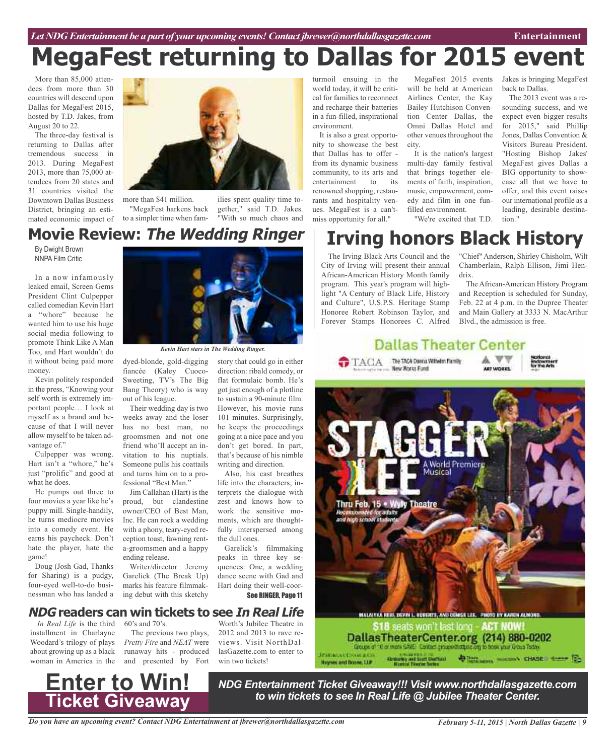# **MegaFest returning to Dallas for 2015 event**

More than 85,000 attendees from more than 30 countries will descend upon Dallas for MegaFest 2015, hosted by T.D. Jakes, from August 20 to 22.

The three-day festival is returning to Dallas after tremendous success in 2013. During MegaFest 2013, more than 75,000 attendees from 20 states and 31 countries visited the Downtown Dallas Business District, bringing an estimated economic impact of



more than \$41 million. "MegaFest harkens back to a simpler time when fam-

ilies spent quality time together," said T.D. Jakes. "With so much chaos and

story that could go in either direction: ribald comedy, or flat formulaic bomb. He's got just enough of a plotline to sustain a 90-minute film. However, his movie runs 101 minutes. Surprisingly, he keeps the proceedings going at a nice pace and you don't get bored. In part, that's because of his nimble writing and direction. Also, his cast breathes life into the characters, interprets the dialogue with zest and knows how to work the sensitive moments, which are thoughtfully interspersed among

## **IOVIE Review: The Wedding Ringer | Irving honors Black History Movie Review: The Wedding Ringer**

NNPA Film Critic

In a now infamously leaked email, Screen Gems President Clint Culpepper called comedian Kevin Hart a "whore" because he wanted him to use his huge social media following to promote Think Like A Man Too, and Hart wouldn't do it without being paid more money.

Kevin politely responded in the press, "Knowing your self worth is extremely important people… I look at myself as a brand and because of that I will never allow myself to be taken advantage of."

Culpepper was wrong. Hart isn't a "whore," he's just "prolific" and good at what he does.

He pumps out three to four movies a year like he's puppy mill. Single-handily, he turns mediocre movies into a comedy event. He earns his paycheck. Don't hate the player, hate the game!

Doug (Josh Gad, Thanks for Sharing) is a pudgy, four-eyed well-to-do businessman who has landed a



*Kevin Hart stars in The Wedding Ringer.*

dyed-blonde, gold-digging fiancée (Kaley Cuoco-Sweeting, TV's The Big Bang Theory) who is way out of his league.

Their wedding day is two weeks away and the loser has no best man, no groomsmen and not one friend who'll accept an invitation to his nuptials. Someone pulls his coattails and turns him on to a professional "Best Man."

Jim Callahan (Hart) is the proud, but clandestine owner/CEO of Best Man, Inc. He can rock a wedding with a phony, teary-eyed reception toast, fawning renta-groomsmen and a happy ending release.

Writer/director Jeremy Garelick (The Break Up) marks his feature filmmaking debut with this sketchy

## **NDG readers can win tickets to see In Real Life**

*In Real Life* is the third 60's and 70's. installment in Charlayne Woodard's trilogy of plays about growing up as a black woman in America in the

The previous two plays, *Pretty Fire* and *NEAT* were runaway hits - produced and presented by Fort

Worth's Jubilee Theatre in 2012 and 2013 to rave reviews. Visit NorthDallasGazette.com to enter to win two tickets!

Garelick's filmmaking peaks in three key sequences: One, a wedding dance scene with Gad and Hart doing their well-coor-

See RINGER, Page 11

the dull ones.

turmoil ensuing in the world today, it will be critical for families to reconnect and recharge their batteries in a fun-filled, inspirational environment.

It is also a great opportunity to showcase the best that Dallas has to offer from its dynamic business community, to its arts and entertainment to its renowned shopping, restaurants and hospitality venues. MegaFest is a can'tmiss opportunity for all."

MegaFest 2015 events will be held at American Airlines Center, the Kay Bailey Hutchison Convention Center Dallas, the Omni Dallas Hotel and other venues throughout the city.

It is the nation's largest multi-day family festival that brings together elements of faith, inspiration, music, empowerment, comedy and film in one funfilled environment.

Jakes is bringing MegaFest back to Dallas.

The 2013 event was a resounding success, and we expect even bigger results for 2015," said Phillip Jones, Dallas Convention & Visitors Bureau President. "Hosting Bishop Jakes' MegaFest gives Dallas a BIG opportunity to showcase all that we have to offer, and this event raises our international profile as a leading, desirable destination."

# "We're excited that T.D.

The Irving Black Arts Council and the City of Irving will present their annual African-American History Month family program. This year's program will highlight "A Century of Black Life, History and Culture", U.S.P.S. Heritage Stamp Honoree Robert Robinson Taylor, and Forever Stamps Honorees C. Alfred

"Chief" Anderson, Shirley Chisholm, Wilt Chamberlain, Ralph Ellison, Jimi Hendrix.

The African-American History Program and Reception is scheduled for Sunday, Feb. 22 at 4 p.m. in the Dupree Theater and Main Gallery at 3333 N. MacArthur Blvd., the admission is free.





DallasTheaterCenter.org (214) 880-0202 Contactly and Suith Charters<br>Restor Theodor Serbic **JESIONIA CERAMINAS DESCRIPTION OF STREET CONSERVANCE** Haynes and Boane, U.P.

# **Ticket Giveaway**

*NDG Entertainment Ticket Giveaway!!! Visit www.northdallasgazette.com to win tickets to see In Real Life @ Jubilee Theater Center.* **Enter to Win!**

*Do you have an upcoming event? Contact NDG Entertainment at jbrewer@northdallasgazette.com*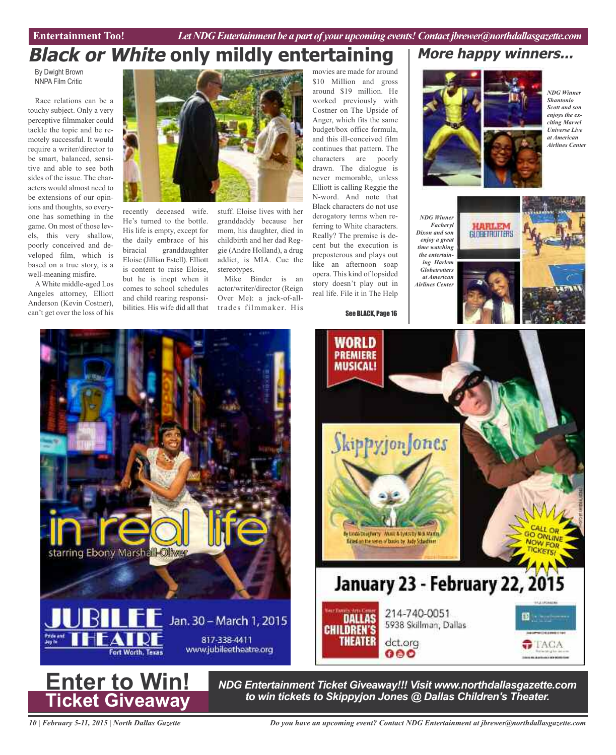Entertainment Too! *Let NDG Entertainment be a part of your upcoming events! Contact jbrewer@northdallasgazette.com* 

## **Black or White only mildly entertaining**

By Dwight Brown NNPA Film Critic

Race relations can be a touchy subject. Only a very perceptive filmmaker could tackle the topic and be remotely successful. It would require a writer/director to be smart, balanced, sensitive and able to see both sides of the issue. The characters would almost need to be extensions of our opinions and thoughts, so everyone has something in the game. On most of those levels, this very shallow, poorly conceived and developed film, which is based on a true story, is a well-meaning misfire.

AWhite middle-aged Los Angeles attorney, Elliott Anderson (Kevin Costner), can't get over the loss of his



recently deceased wife. He's turned to the bottle. His life is empty, except for the daily embrace of his biracial granddaughter Eloise (Jillian Estell). Elliott is content to raise Eloise, but he is inept when it comes to school schedules and child rearing responsibilities. His wife did all that

stuff. Eloise lives with her granddaddy because her mom, his daughter, died in childbirth and her dad Reggie (Andre Holland), a drug addict, is MIA. Cue the stereotypes.

Mike Binder is an actor/writer/director (Reign Over Me): a jack-of-alltrades filmmaker. His

movies are made for around \$10 Million and gross around \$19 million. He worked previously with Costner on The Upside of Anger, which fits the same budget/box office formula, and this ill-conceived film continues that pattern. The characters are poorly drawn. The dialogue is never memorable, unless Elliott is calling Reggie the N-word. And note that Black characters do not use derogatory terms when referring to White characters. Really? The premise is decent but the execution is preposterous and plays out like an afternoon soap opera. This kind of lopsided story doesn't play out in real life. File it in The Help

See BLACK, Page 16

WORLD **PREMIERE MUSICAL!** 



**More happy winners...**

*NDG Winner Shantonio Scott and son enjoys the exciting Marvel Universe Live at American Airlines Center*





 $TAGA$ 



*NDG Entertainment Ticket Giveaway!!! Visit www.northdallasgazette.com to win tickets to Skippyjon Jones @ Dallas Children's Theater.* **Enter to Win!**

dct.org

000

214-740-0051

5938 Skillman, Dallas

ly Linda Dougherty Music & Lytischy Mck Martin **Eited on the series of books by Judy Schedmer** 

**DALLAS** 

**THEATER** 

**CHILDREN'S** 

*10 | February 5-11, 2015 | North Dallas Gazette*

**Ticket Giveaway**

*Do you have an upcoming event? Contact NDG Entertainment at jbrewer@northdallasgazette.com*

**January 23 - February 22, 2015**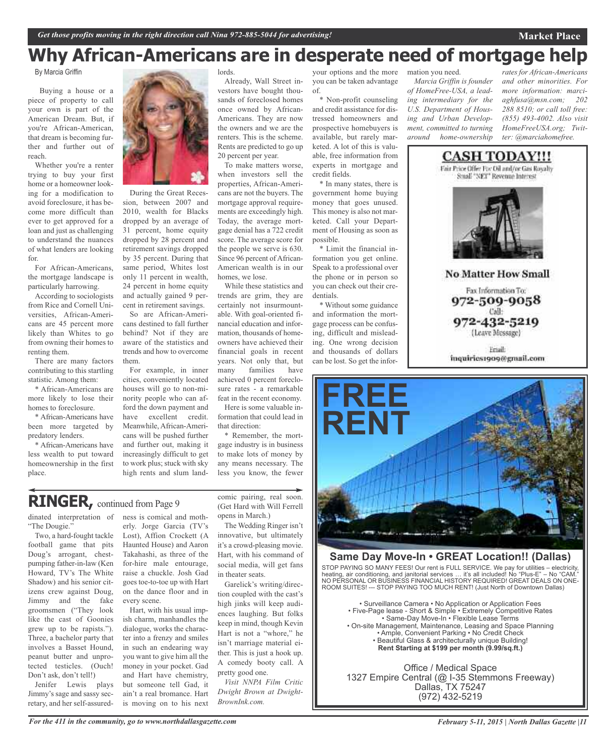## **Why African-Americans are in desperate need of mortgage help**

By Marcia Griffin

Buying a house or a piece of property to call your own is part of the American Dream. But, if you're African-American, that dream is becoming further and further out of reach.

Whether you're a renter trying to buy your first home or a homeowner looking for a modification to avoid foreclosure, it has become more difficult than ever to get approved for a loan and just as challenging to understand the nuances of what lenders are looking for.

For African-Americans, the mortgage landscape is particularly harrowing.

According to sociologists from Rice and Cornell Universities, African-Americans are 45 percent more likely than Whites to go from owning their homes to renting them.

There are many factors contributing to this startling statistic. Among them:

\* African-Americans are more likely to lose their homes to foreclosure.

\* African-Americans have been more targeted by predatory lenders.

\* African-Americans have less wealth to put toward homeownership in the first place.



During the Great Recession, between 2007 and 2010, wealth for Blacks dropped by an average of 31 percent, home equity dropped by 28 percent and retirement savings dropped by 35 percent. During that same period, Whites lost only 11 percent in wealth, 24 percent in home equity and actually gained 9 percent in retirement savings.

So are African-Americans destined to fall further behind? Not if they are aware of the statistics and trends and how to overcome them.

For example, in inner cities, conveniently located houses will go to non-minority people who can afford the down payment and have excellent credit. Meanwhile, African-Americans will be pushed further and further out, making it increasingly difficult to get to work plus; stuck with sky high rents and slum landlords.

Already, Wall Street investors have bought thousands of foreclosed homes once owned by African-Americans. They are now the owners and we are the renters. This is the scheme. Rents are predicted to go up 20 percent per year.

To make matters worse, when investors sell the properties, African-Americans are not the buyers. The mortgage approval requirements are exceedingly high. Today, the average mortgage denial has a 722 credit score. The average score for the people we serve is 630. Since 96 percent of African-American wealth is in our homes, we lose.

While these statistics and trends are grim, they are certainly not insurmountable. With goal-oriented financial education and information, thousands of homeowners have achieved their financial goals in recent years. Not only that, but many families have achieved 0 percent foreclosure rates - a remarkable feat in the recent economy.

Here is some valuable information that could lead in that direction:

\* Remember, the mortgage industry is in business to make lots of money by any means necessary. The less you know, the fewer

## **RINGER,** continued from Page <sup>9</sup>

dinated interpretation of ness is comical and moth-"The Dougie."

Two, a hard-fought tackle football game that pits Doug's arrogant, chestpumping father-in-law (Ken Howard, TV's The White Shadow) and his senior citizens crew against Doug, Jimmy and the fake groomsmen ("They look like the cast of Goonies grew up to be rapists."). Three, a bachelor party that involves a Basset Hound, peanut butter and unprotected testicles. (Ouch! Don't ask, don't tell!)

Jenifer Lewis plays Jimmy's sage and sassy secretary, and her self-assured-

erly. Jorge Garcia (TV's Lost), Affion Crockett (A Haunted House) and Aaron Takahashi, as three of the for-hire male entourage, raise a chuckle. Josh Gad goes toe-to-toe up with Hart on the dance floor and in every scene.

Hart, with his usual impish charm, manhandles the dialogue, works the character into a frenzy and smiles in such an endearing way you want to give him all the money in your pocket. Gad and Hart have chemistry, but someone tell Gad, it ain't a real bromance. Hart is moving on to his next comic pairing, real soon. (Get Hard with Will Ferrell opens in March.)

The Wedding Ringer isn't innovative, but ultimately it's a crowd-pleasing movie. Hart, with his command of social media, will get fans in theater seats.

Garelick's writing/direction coupled with the cast's high jinks will keep audiences laughing. But folks keep in mind, though Kevin Hart is not a "whore," he isn't marriage material either. This is just a hook up. A comedy booty call. A pretty good one.

*Visit NNPA Film Critic Dwight Brown at Dwight-BrownInk.com.*

your options and the more you can be taken advantage of.

\* Non-profit counseling and credit assistance for distressed homeowners and prospective homebuyers is available, but rarely marketed. A lot of this is valuable, free information from experts in mortgage and credit fields.

\* In many states, there is government home buying money that goes unused. This money is also not marketed. Call your Department of Housing as soon as possible.

\* Limit the financial information you get online. Speak to a professional over the phone or in person so you can check out their credentials.

\* Without some guidance and information the mortgage process can be confusing, difficult and misleading. One wrong decision and thousands of dollars can be lost. So get the infor-



*of HomeFree-USA, a leading intermediary for the U.S. Department of Housing and Urban Development, committed to turning around home-ownership*

*rates for African-Americans and other minorities. For more information: marciaghfusa@msn.com; 202 288 8510; or call toll free: (855) 493-4002. Also visit HomeFreeUSA.org; Twitter: @marciahomefree.*

**Market Place**



**No Matter How Small** 

Fax Information To: 972-509-9058 Call: 972-432-5219

(Leave Message)

Friail: inquiries1909@gmail.com



## **Same Day Move-In • GREAT Location!! (Dallas)**

STOP PAYING SO MANY FEES! Our rent is FULL SERVICE. We pay for utilities – electricity, heating, air conditioning, and janitorial services … it's all included! No "Plus-E" – No "CAM." NO PERSONAL OR BUSINESS FINANCIAL HISTORY REQUIRED! GREAT DEALS ON ONE-ROOM SUITES! --- STOP PAYING TOO MUCH RENT! (Just North of Downtown Dallas)

• Surveillance Camera • No Application or Application Fees • Five-Page lease - Short & Simple • Extremely Competitive Rates • Same-Day Move-In • Flexible Lease Terms • On-site Management, Maintenance, Leasing and Space Planning • Ample, Convenient Parking • No Credit Check • Beautiful Glass & architecturally unique Building! **Rent Starting at \$199 per month (9.99/sq.ft.)**

Office / Medical Space 1327 Empire Central (@ I-35 Stemmons Freeway) Dallas, TX 75247 (972) 432-5219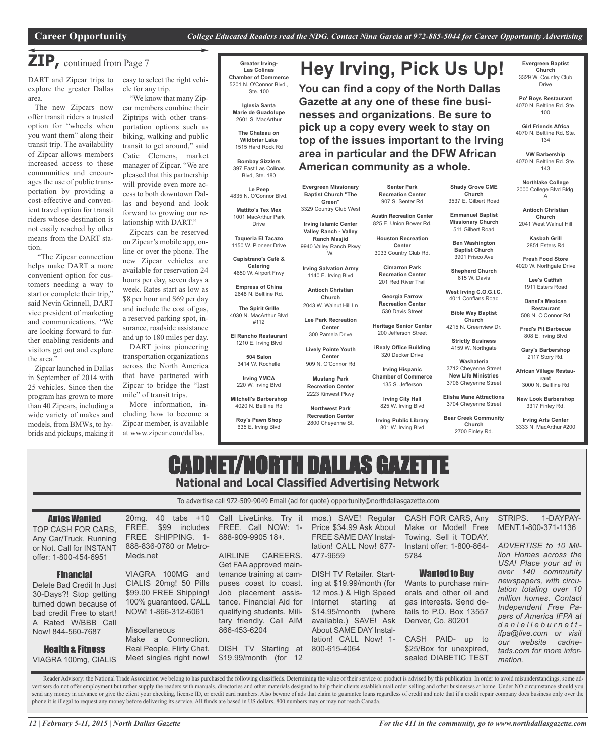**Hey Irving, Pick Us Up!**

**You can find a copy of the North Dallas Gazette at any one of these fine businesses and organizations. Be sure to pick up a copy every week to stay on top of the issues important to the Irving area in particular and the DFW African**

## **ZIP,** continued from Page <sup>7</sup>

DART and Zipcar trips to explore the greater Dallas area.

The new Zipcars now offer transit riders a trusted option for "wheels when you want them" along their transit trip. The availability of Zipcar allows members increased access to these communities and encourages the use of public transportation by providing a cost-effective and convenient travel option for transit riders whose destination is not easily reached by other means from the DART station.

"The Zipcar connection helps make DART a more convenient option for customers needing a way to start or complete their trip," said Nevin Grinnell, DART vice president of marketing and communications. "We are looking forward to further enabling residents and visitors get out and explore the area."

Zipcar launched in Dallas in September of 2014 with 25 vehicles. Since then the program has grown to more than 40 Zipcars, including a wide variety of makes and models, from BMWs, to hybrids and pickups, making it easy to select the right vehicle for any trip.

"We know that many Zipcar members combine their Ziptrips with other transportation options such as biking, walking and public transit to get around," said Catie Clemens, market manager of Zipcar. "We are pleased that this partnership will provide even more access to both downtown Dallas and beyond and look forward to growing our relationship with DART."

Zipcars can be reserved on Zipcar's mobile app, online or over the phone. The new Zipcar vehicles are available for reservation 24 hours per day, seven days a week. Rates start as low as \$8 per hour and \$69 per day and include the cost of gas, a reserved parking spot, insurance, roadside assistance and up to 180 miles per day.

DART joins pioneering transportation organizations across the North America that have partnered with Zipcar to bridge the "last mile" of transit trips.

More information, including how to become a Zipcar member, is available at www.zipcar.com/dallas.

**Greater Irving-Las Colinas Chamber of Commerce** 5201 N. O'Connor Blvd., Ste. 100

> **Iglesia Santa Marie de Guadolupe** 2601 S. MacArthur

**The Chateau on Wildbriar Lake** 1515 Hard Rock Rd

**Bombay Sizzlers** 397 East Las Colinas Blvd, Ste. 180

**Le Peep** 4835 N. O'Connor Blvd. **Mattito's Tex Mex**

1001 MacArthur Park Drive

**Taqueria El Tacazo** 1150 W. Pioneer Drive

**Capistrano's Café & Catering** 4650 W. Airport Frwy

**Empress of China** 2648 N. Beltline Rd.

**The Spirit Grille** 4030 N. MacArthur Blvd #112

**El Rancho Restaurant** 1210 E. Irving Blvd

**504 Salon** 3414 W. Rochelle

**Irving YMCA** 220 W. Irving Blvd

**Mitchell's Barbershop** 4020 N. Beltline Rd

**Roy's Pawn Shop** 635 E. Irving Blvd

**Senter Park American community as a whole.**

**Austin Recreation Center**

825 E. Union Bower Rd.

3033 Country Club Rd.

**Recreation Center**

**Georgia Farrow Recreation Center**

320 Decker Drive

**Irving Hispanic**

825 W. Irving Blvd

801 W. Irving Blvd

**Evergreen Baptist Church** 3329 W. Country Club Drive

**Po' Boys Restaurant** 4070 N. Beltline Rd. Ste. 100

**Girl Friends Africa** 4070 N. Beltline Rd. Ste. 134

**VW Barbership** 4070 N. Beltline Rd. Ste. 143

**Northlake College** 2000 College Blvd Bldg. A

**Shady Grove CME Church** 3537 E. Gilbert Road **Emmanuel Baptist Missionary Church** 511 Gilbert Road **Ben Washington Baptist Church** 3901 Frisco Ave **Shepherd Church** 615 W. Davis **West Irving C.O.G.I.C.** 4011 Conflans Road **Bible Way Baptist Church** 4215 N. Greenview Dr. **Strictly Business** 4159 W. Northgate **Washateria** 3712 Cheyenne Street **New Life Ministries** 3706 Cheyenne Street **Elisha Mane Attractions** 3704 Cheyenne Street **Bear Creek Community Church** 2700 Finley Rd.

**Antioch Christian Church** 2041 West Walnut Hill

**Kasbah Grill** 2851 Esters Rd

**Fresh Food Store** 4020 W. Northgate Drive

> **Lee's Catfish** 1911 Esters Road

**Danal's Mexican Restaurant** 508 N. O'Connor Rd

**Fred's Pit Barbecue** 808 E. Irving Blvd

**Gary's Barbershop** 2117 Story Rd.

**African Village Restaurant** 3000 N. Beltline Rd

**New Look Barbershop** 3317 Finley Rd.

**Irving Arts Center** 3333 N. MacArthur #200

## CADNET/NORTH DALLAS GAZET **National and Local Classified Advertising Network**

To advertise call 972-509-9049 Email (ad for quote) opportunity@northdallasgazette.com

| <b>Autos Wanted</b><br>TOP CASH FOR CARS.<br>Any Car/Truck, Running<br>or Not. Call for INSTANT                                                                           | 40 tabs +10<br>$20mq$ .<br>\$99<br>includes<br>FREE.<br>FREE SHIPPING. 1-<br>888-836-0780 or Metro-                                                                  | Call LiveLinks. Try it<br>FREE. Call NOW: 1-<br>888-909-9905 18+.                                                                                                              | mos.) SAVE! Regular<br>Price \$34.99 Ask About<br><b>FREE SAME DAY Instal-</b><br>lation! CALL Now! 877-                                                                                                                     | CASH FOR CARS, Any<br>Make or Model! Free<br>Towing. Sell it TODAY.<br>Instant offer: 1-800-864-                                                                         | 1-DAYPAY-<br>STRIPS.<br>MENT.1-800-371-1136<br>ADVERTISE to 10 Mil-                                                                                                                                                              |
|---------------------------------------------------------------------------------------------------------------------------------------------------------------------------|----------------------------------------------------------------------------------------------------------------------------------------------------------------------|--------------------------------------------------------------------------------------------------------------------------------------------------------------------------------|------------------------------------------------------------------------------------------------------------------------------------------------------------------------------------------------------------------------------|--------------------------------------------------------------------------------------------------------------------------------------------------------------------------|----------------------------------------------------------------------------------------------------------------------------------------------------------------------------------------------------------------------------------|
| offer: 1-800-454-6951                                                                                                                                                     | Meds.net                                                                                                                                                             | CAREERS.<br><b>AIRLINE</b><br>Get FAA approved main-                                                                                                                           | 477-9659                                                                                                                                                                                                                     | 5784                                                                                                                                                                     | lion Homes across the<br>USA! Place your ad in                                                                                                                                                                                   |
| <b>Financial</b><br>Delete Bad Credit In Just<br>30-Days?! Stop getting<br>turned down because of<br>bad credit Free to start!<br>A Rated W/BBB Call<br>Now! 844-560-7687 | VIAGRA 100MG and<br>CIALIS 20mg! 50 Pills<br>\$99.00 FREE Shipping!<br>100% guaranteed. CALL<br>NOW! 1-866-312-6061<br>Miscellaneous<br>Connection.<br>Make<br>$-$ a | tenance training at cam-<br>puses coast to coast.<br>Job placement assis-<br>tance. Financial Aid for<br>qualifying students. Mili-<br>tary friendly. Call AIM<br>866-453-6204 | <b>DISH TV Retailer. Start-</b><br>ing at \$19.99/month (for<br>12 mos.) & High Speed<br>starting<br>Internet<br>at<br>$$14.95/m$ onth<br>(where)<br>available.) SAVE! Ask<br>About SAME DAY Instal-<br>lation! CALL Now! 1- | <b>Wanted to Buy</b><br>Wants to purchase min-<br>erals and other oil and<br>gas interests. Send de-<br>tails to P.O. Box 13557<br>Denver, Co. 80201<br>CASH PAID- up to | over 140 community<br>newspapers, with circu-<br>lation totaling over 10<br>million homes. Contact<br>Independent Free Pa-<br>pers of America IFPA at<br>danielleburnett-<br>ifpa@live.com or visit<br>website<br>cadne-<br>OUIT |
| <b>Health &amp; Fitness</b><br>VIAGRA 100mg, CIALIS                                                                                                                       | Real People, Flirty Chat.<br>Meet singles right now!                                                                                                                 | DISH TV<br>Starting at<br>\$19.99/month (for 12                                                                                                                                | 800-615-4064                                                                                                                                                                                                                 | \$25/Box for unexpired,<br>sealed DIABETIC TEST                                                                                                                          | tads.com for more infor-<br>mation.                                                                                                                                                                                              |

Reader Advisory: the National Trade Association we belong to has purchased the following classifieds. Determining the value of their service or product is advised by this publication. In order to avoid misunderstandings, s vertisers do not offer employment but rather supply the readers with manuals, directories and other materials designed to help their clients establish mail order selling and other businesses at home. Under NO circumstance send any money in advance or give the client your checking, license ID, or credit card numbers. Also beware of ads that claim to guarantee loans regardless of credit and note that if a credit repair company does business o phone it is illegal to request any money before delivering its service. All funds are based in US dollars. 800 numbers may or may not reach Canada.

**Recreation Center** 907 S. Senter Rd

**Houston Recreation Center**

**Chamber of Commerce**

**Irving Public Library**

300 Pamela Drive **Lively Pointe Youth**

135 S. Jefferson

**Irving Salvation Army**

530 Davis Street

**Heritage Senior Center** 200 Jefferson Street

**Irving City Hall**

**Cimarron Park** 201 Red River Trail

**iRealy Office Building**

1140 E. Irving Blvd **Antioch Christian Church** 2043 W. Walnut Hill Ln **Lee Park Recreation**

**Evergreen Missionary Baptist Church "The Green"** 3329 Country Club West **Irving Islamic Center Valley Ranch - Valley Ranch Masjid** 9940 Valley Ranch Pkwy W.

**Center**

**Center** 909 N. O'Connor Rd **Mustang Park Recreation Center** 2223 Kinwest Pkwy **Northwest Park Recreation Center** 2800 Cheyenne St.

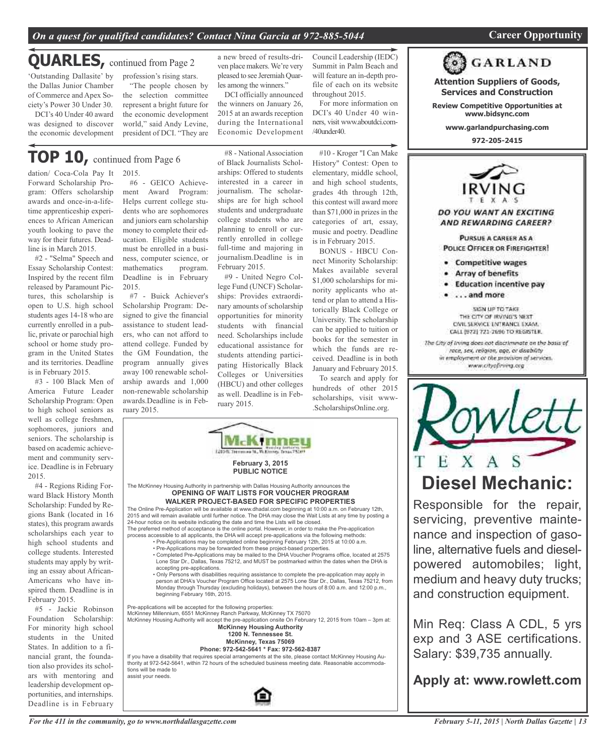## *On a quest for qualified candidates? Contact Nina Garcia at 972-885-5044* **Career Opportunity**

## 'Outstanding Dallasite' by **QUARLES,** continued from Page <sup>2</sup>

the Dallas Junior Chamber of Commerce and Apex Society's Power 30 Under 30.

DCI's 40 Under 40 award was designed to discover the economic development profession's rising stars. "The people chosen by ven place makers.We're very pleased to see Jeremiah Quarles among the winners."

the selection committee represent a bright future for the economic development world," said Andy Levine, president of DCI. "They are

## **TOP 10,** continued from Page <sup>6</sup>

dation/ Coca-Cola Pay It Forward Scholarship Program: Offers scholarship awards and once-in-a-lifetime apprenticeship experiences to African American youth looking to pave the way for their futures. Deadline is in March 2015.

#2 - "Selma" Speech and Essay Scholarship Contest: Inspired by the recent film released by Paramount Pictures, this scholarship is open to U.S. high school students ages 14-18 who are currently enrolled in a public, private or parochial high school or home study program in the United States and its territories. Deadline is in February 2015.

#3 - 100 Black Men of America Future Leader Scholarship Program: Open to high school seniors as well as college freshmen, sophomores, juniors and seniors. The scholarship is based on academic achievement and community service. Deadline is in February 2015.

#4 - Regions Riding Forward Black History Month Scholarship: Funded by Regions Bank (located in 16 states), this program awards scholarships each year to high school students and college students. Interested students may apply by writing an essay about African-Americans who have inspired them. Deadline is in February 2015.

#5 - Jackie Robinson Foundation Scholarship: For minority high school students in the United States. In addition to a financial grant, the foundation also provides its scholars with mentoring and leadership development opportunities, and internships. Deadline is in February

2015. #6 - GEICO Achieve-

ment Award Program: Helps current college students who are sophomores and juniors earn scholarship money to complete their education. Eligible students must be enrolled in a business, computer science, or mathematics program. Deadline is in February 2015.

#7 - Buick Achiever's Scholarship Program: Designed to give the financial assistance to student leaders, who can not afford to attend college. Funded by the GM Foundation, the program annually gives away 100 renewable scholarship awards and 1,000 non-renewable scholarship awards.Deadline is in February 2015.

#8 - National Association of Black Journalists Scholarships: Offered to students interested in a career in journalism. The scholarships are for high school students and undergraduate college students who are planning to enroll or currently enrolled in college full-time and majoring in journalism.Deadline is in February 2015.

a new breed of results-dri-

DCI officially announced the winners on January 26, 2015 at an awards reception during the International Economic Development

#9 - United Negro College Fund (UNCF) Scholarships: Provides extraordinary amounts of scholarship opportunities for minority students with financial need. Scholarships include educational assistance for students attending participating Historically Black Colleges or Universities (HBCU) and other colleges as well. Deadline is in February 2015.

#10 - Kroger "I Can Make History" Contest: Open to elementary, middle school, and high school students, grades 4th through 12th, this contest will award more than \$71,000 in prizes in the categories of art, essay, music and poetry. Deadline

Council Leadership (IEDC) Summit in Palm Beach and will feature an in-depth profile of each on its website

For more information on DCI's 40 Under 40 winners, visit www.aboutdci.com-

throughout 2015.

 $/40$ under $40$ .

nect Minority Scholarship: Makes available several \$1,000 scholarships for minority applicants who attend or plan to attend a Historically Black College or University. The scholarship can be applied to tuition or books for the semester in which the funds are received. Deadline is in both January and February 2015.

hundreds of other 2015 scholarships, visit www-



If you have a disability that requires special arrangements at the site, please contact McKinney Housing Authe state of discussing that required special attangements at the site, piesse contact metalling rhousing relationships at the scheduled business meeting date. Reasonable accommodations will be made to assist your needs.



is in February 2015.

BONUS - HBCU Con-To search and apply for

.ScholarshipsOnline.org.



**Attention Suppliers of Goods, Services and Construction Review Competitive Opportunities at www.bidsync.com www.garlandpurchasing.com 972-205-2415**

**GARLAND** 

**POLICE OFFICER OR FIREFIGHTER!** 

- **Competitive wages**
- Array of benefits
- · Education incentive pay
- . . . . and more

SIGN UP TO TAKE THE CITY OF IRVING'S NEXT CIVIL SERVICE ENTRANCE EXAM. CALL (972) 721-2696 TO REGISTER. The City of Irving does not discriminate on the basis of race, sex, religion, age, or disability in employment or the provision of services. www.cityofiriing.org



Responsible for the repair, servicing, preventive maintenance and inspection of gasoline, alternative fuels and dieselpowered automobiles; light, medium and heavy duty trucks; and construction equipment.

Min Req: Class A CDL, 5 yrs exp and 3 ASE certifications. Salary: \$39,735 annually.

**Apply at: www.rowlett.com**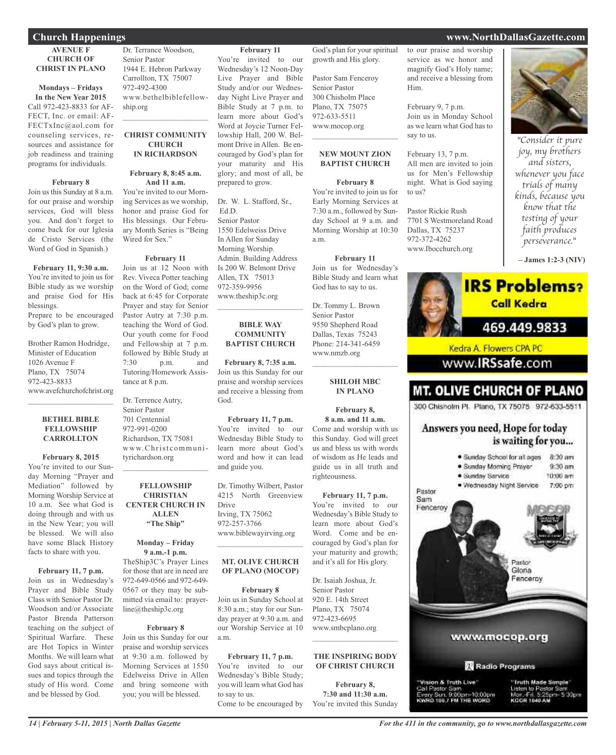#### **AVENUE F CHURCH OF CHRIST IN PLANO**

## **Mondays – Fridays**

**In the New Year 2015** Call 972-423-8833 for AF-FECT, Inc. or email: AF-FECTxInc@aol.com for counseling services, resources and assistance for job readiness and training programs for individuals.

#### **February 8**

Join us this Sunday at 8 a.m. for our praise and worship services, God will bless you. And don't forget to come back for our Iglesia de Cristo Services (the Word of God in Spanish.)

### **February 11, 9:30 a.m.** You're invited to join us for Bible study as we worship and praise God for His blessings. Prepare to be encouraged

by God's plan to grow.

Brother Ramon Hodridge, Minister of Education 1026 Avenue F Plano, TX 75074 972-423-8833 www.avefchurchofchrist.org  $\mathcal{L}=\mathcal{L}^{\mathcal{L}}$  , where  $\mathcal{L}^{\mathcal{L}}$  , we have the set of the set of the set of the set of the set of the set of the set of the set of the set of the set of the set of the set of the set of the set of the set of

#### **BETHEL BIBLE FELLOWSHIP CARROLLTON**

#### **February 8, 2015** You're invited to our Sunday Morning "Prayer and Mediation" followed by Morning Worship Service at 10 a.m. See what God is doing through and with us in the New Year; you will be blessed. We will also have some Black History facts to share with you.

#### **February 11, 7 p.m.**

Join us in Wednesday's Prayer and Bible Study Class with Senior Pastor Dr. Woodson and/or Associate Pastor Brenda Patterson teaching on the subject of Spiritual Warfare. These are Hot Topics in Winter Months. We will learn what God says about critical issues and topics through the study of His word. Come and be blessed by God.

Dr. Terrance Woodson, Senior Pastor 1944 E. Hebron Parkway Carrollton, TX 75007 972-492-4300 www.bethelbiblefellowship.org

#### **CHRIST COMMUNITY CHURCH IN RICHARDSON**

 $\mathcal{L}_\text{max}$  , which is a set of the set of the set of the set of the set of the set of the set of the set of the set of the set of the set of the set of the set of the set of the set of the set of the set of the set of

## **February 8, 8:45 a.m. And 11 a.m.**

You're invited to our Morning Services as we worship, honor and praise God for His blessings. Our February Month Series is "Being Wired for Sex."

## **February 11**

Join us at 12 Noon with Rev. Viveca Potter teaching on the Word of God; come back at 6:45 for Corporate Prayer and stay for Senior Pastor Autry at 7:30 p.m. teaching the Word of God. Our youth come for Food and Fellowship at 7 p.m. followed by Bible Study at 7:30 p.m. and Tutoring/Homework Assistance at 8 p.m.

Dr. Terrence Autry, Senior Pastor 701 Centennial 972-991-0200 Richardson, TX 75081 www.Christ communityrichardson.org

#### **FELLOWSHIP CHRISTIAN CENTER CHURCH IN ALLEN "The Ship"**

 $\mathcal{L}_\text{max}$  , which is a set of the set of the set of the set of the set of the set of the set of the set of the set of the set of the set of the set of the set of the set of the set of the set of the set of the set of

## **Monday – Friday 9 a.m.-1 p.m.**

TheShip3C's Prayer Lines for those that are in need are 972-649-0566 and 972-649- 0567 or they may be submitted via email to: prayerline@theship3c.org

### **February 8** Join us this Sunday for our praise and worship services at 9:30 a.m. followed by Morning Services at 1550 Edelweiss Drive in Allen and bring someone with you; you will be blessed.

**February 11** You're invited to our Wednesday's 12 Noon-Day Live Prayer and Bible

Study and/or our Wednesday Night Live Prayer and Bible Study at 7 p.m. to learn more about God's Word at Joycie Turner Fellowship Hall, 200 W. Belmont Drive in Allen. Be encouraged by God's plan for your maturity and His glory; and most of all, be prepared to grow.

Dr. W. L. Stafford, Sr., Ed.D. Senior Pastor 1550 Edelweiss Drive In Allen for Sunday Morning Worship. Admin. Building Address Is 200 W. Belmont Drive Allen, TX 75013 972-359-9956 www.theship3c.org

#### **BIBLE WAY COMMUNITY BAPTIST CHURCH**

 $\overline{\phantom{a}}$  , and the set of the set of the set of the set of the set of the set of the set of the set of the set of the set of the set of the set of the set of the set of the set of the set of the set of the set of the s

**February 8, 7:35 a.m.** Join us this Sunday for our praise and worship services and receive a blessing from God.

## **February 11, 7 p.m.**

You're invited to our Wednesday Bible Study to learn more about God's word and how it can lead and guide you.

Dr. Timothy Wilbert, Pastor 4215 North Greenview Drive Irving, TX 75062 972-257-3766 www.biblewayirving.org  $\overline{\phantom{a}}$  , and the set of the set of the set of the set of the set of the set of the set of the set of the set of the set of the set of the set of the set of the set of the set of the set of the set of the set of the s

### **MT. OLIVE CHURCH OF PLANO (MOCOP)**

## **February 8**

Join us in Sunday School at 8:30 a.m.; stay for our Sunday prayer at 9:30 a.m. and our Worship Service at 10 a.m.

**February 11, 7 p.m.** You're invited to our Wednesday's Bible Study; you will learn what God has to say to us. Come to be encouraged by

God's plan for your spiritual growth and His glory.

Pastor Sam Fenceroy Senior Pastor 300 Chisholm Place Plano, TX 75075 972-633-5511 www.mocop.org  $\mathcal{L}$  , and the set of the set of the set of the set of the set of the set of the set of the set of the set of the set of the set of the set of the set of the set of the set of the set of the set of the set of the set

## **NEW MOUNT ZION BAPTIST CHURCH**

**February 8** You're invited to join us for Early Morning Services at 7:30 a.m., followed by Sunday School at 9 a.m. and Morning Worship at 10:30 a.m.

#### **February 11** Join us for Wednesday's

Bible Study and learn what God has to say to us. Dr. Tommy L. Brown Senior Pastor 9550 Shepherd Road Dallas, Texas 75243 Phone: 214-341-6459 www.nmzb.org

> **SHILOH MBC IN PLANO**

 $\mathcal{L}$  , and the set of the set of the set of the set of the set of the set of the set of the set of the set of the set of the set of the set of the set of the set of the set of the set of the set of the set of the set

## **February 8, 8 a.m. and 11 a.m.** Come and worship with us

this Sunday. God will greet us and bless us with words of wisdom as He leads and guide us in all truth and righteousness.

**February 11, 7 p.m.** You're invited to our Wednesday's Bible Study to learn more about God's Word. Come and be encouraged by God's plan for your maturity and growth; and it's all for His glory.

Dr. Isaiah Joshua, Jr. Senior Pastor 920 E. 14th Street Plano, TX 75074 972-423-6695 www.smbcplano.org

## $\mathcal{L}_\mathcal{L}$  , where  $\mathcal{L}_\mathcal{L}$  is the set of the set of the set of the set of the set of the set of the set of the set of the set of the set of the set of the set of the set of the set of the set of the set of the **THE INSPIRING BODY OF CHRIST CHURCH**

**February 8, 7:30 and 11:30 a.m.** You're invited this Sunday to our praise and worship service as we honor and magnify God's Holy name; and receive a blessing from Him.

February 9, 7 p.m. Join us in Monday School as we learn what God has to say to us.

February 13, 7 p.m. All men are invited to join us for Men's Fellowship night. What is God saying to us?

Pastor Rickie Rush 7701 S Westmoreland Road Dallas, TX 75237 972-372-4262 www.Ibocchurch.org



"Consider it pure joy, my brothers and sisters, whenever you face trials of many kinds, because you know that the testing of your faith produces perseverance."

**– James 1:2-3 (NIV)**



## **Church Happenings www.NorthDallasGazette.com**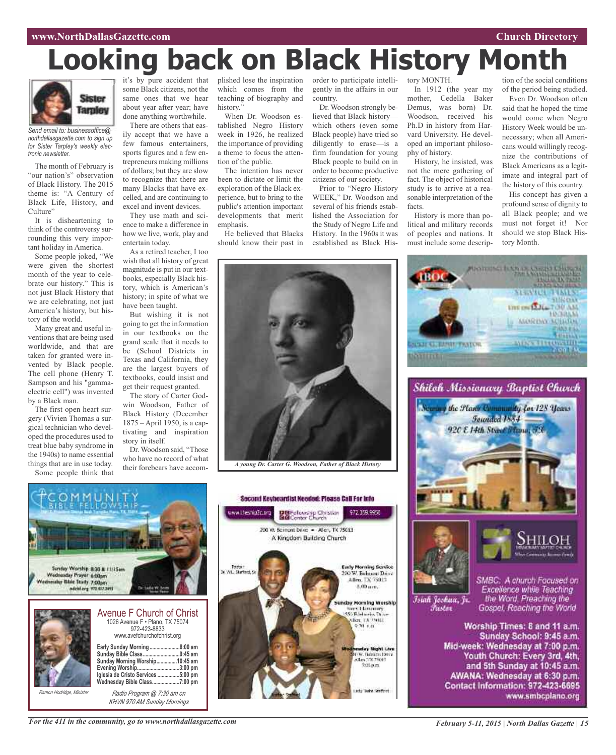#### **www.NorthDallasGazette.com Church Directory**

# **Looking back on Black History Month**



*Send email to: businessoffice@ northdallasgazette.com to sign up for Sister Tarpley's weekly electronic newsletter.*

The month of February is "our nation's" observation of Black History. The 2015 theme is: "A Century of Black Life, History, and Culture"

It is disheartening to think of the controversy surrounding this very important holiday in America.

Some people joked, "We were given the shortest month of the year to celebrate our history." This is not just Black History that we are celebrating, not just America's history, but history of the world.

Many great and useful inventions that are being used worldwide, and that are taken for granted were invented by Black people. The cell phone (Henry T. Sampson and his "gammaelectric cell") was invented by a Black man.

The first open heart surgery (Vivien Thomas a surgical technician who developed the procedures used to treat blue baby syndrome in the 1940s) to name essential things that are in use today. Some people think that

it's by pure accident that some Black citizens, not the same ones that we hear about year after year; have done anything worthwhile.

There are others that easily accept that we have a few famous entertainers, sports figures and a few entrepreneurs making millions of dollars; but they are slow to recognize that there are many Blacks that have excelled, and are continuing to excel and invent devices.

They use math and science to make a difference in how we live, work, play and entertain today.

As a retired teacher, I too wish that all history of great magnitude is put in our textbooks, especially Black history, which is American's history; in spite of what we have been taught.

But wishing it is not going to get the information in our textbooks on the grand scale that it needs to be (School Districts in Texas and California, they are the largest buyers of textbooks, could insist and get their request granted.

The story of Carter Godwin Woodson, Father of Black History (December 1875 – April 1950, is a captivating and inspiration story in itself.

Dr. Woodson said, "Those who have no record of what their forebears have accomplished lose the inspiration which comes from the teaching of biography and history."

When Dr. Woodson established Negro History week in 1926, he realized the importance of providing a theme to focus the attention of the public.

The intention has never been to dictate or limit the exploration of the Black experience, but to bring to the public's attention important developments that merit emphasis.

He believed that Blacks should know their past in order to participate intelligently in the affairs in our country.

Dr. Woodson strongly believed that Black history which others (even some Black people) have tried so diligently to erase—is a firm foundation for young Black people to build on in order to become productive citizens of our society.

Prior to "Negro History WEEK," Dr. Woodson and several of his friends established the Association for the Study of Negro Life and History. In the 1960s it was established as Black His-

tory MONTH.

In 1912 (the year my mother, Cedella Baker Demus, was born) Dr. Woodson, received his Ph.D in history from Harvard University. He developed an important philosophy of history.

History, he insisted, was not the mere gathering of fact. The object of historical study is to arrive at a reasonable interpretation of the facts.

History is more than political and military records of peoples and nations. It must include some descrip-

**JUST GUIDITT TAYIVE** 

**BATTLETIN** 

tion of the social conditions of the period being studied.

Even Dr. Woodson often said that he hoped the time would come when Negro History Week would be unnecessary; when all Americans would willingly recognize the contributions of Black Americans as a legitimate and integral part of the history of this country.

His concept has given a profound sense of dignity to all Black people; and we must not forget it! Nor should we stop Black History Month.

**SPEARED TOME UTE ON LALL TOU AM** 

**MORDAY SCIENCE** 

*INSECTION OF* 

**HOGHAM** 

**Photohola In Alexander Chicken**<br>Second In Alexander Production

Shilch Missionary Baptist Church

the Flam Community for 128 Years Founded 1884 920 E 14th Street France, 73



*A young Dr. Carter G. Woodson, Father of Black History*

Second Keybeardist Needed: Please Call For Info

DBFelowskip Christian<br>BGConter Church

200 W. Bernont Dove - Aller, TX 75013 A Kingdom Building Church

972.359.9956

day Night Live

036. Bahim Ditsi<br>Alm DX 75013

7:05 p.m.

www.thesnipDo.org

Pastor<br>W.L. Starford, S



*KHVN 970 AM Sunday Mornings*

**Early Morning Service** 200 W. Behueni Drive Allen, TX 75013. 8.00 um. Islah Joshua, Jr. Sunday Morning Worship<br>
Mary Licensenry<br>
Microsoft Patent<br>
Microsoft Patent<br>
Microsoft Patent *Pustar*  $970.88$ 

SMBC: A church Focused on Excellence while Teaching<br>the Word, Preaching the Gospel, Reaching the World

Worship Times: 8 and 11 a.m. Sunday School: 9:45 a.m. Mid-week: Wednesday at 7:00 p.m. Youth Church: Every 3rd, 4th, and 5th Sunday at 10:45 a.m. AWANA: Wednesday at 6:30 p.m. Contact Information: 972-423-6695 www.smbcplano.org